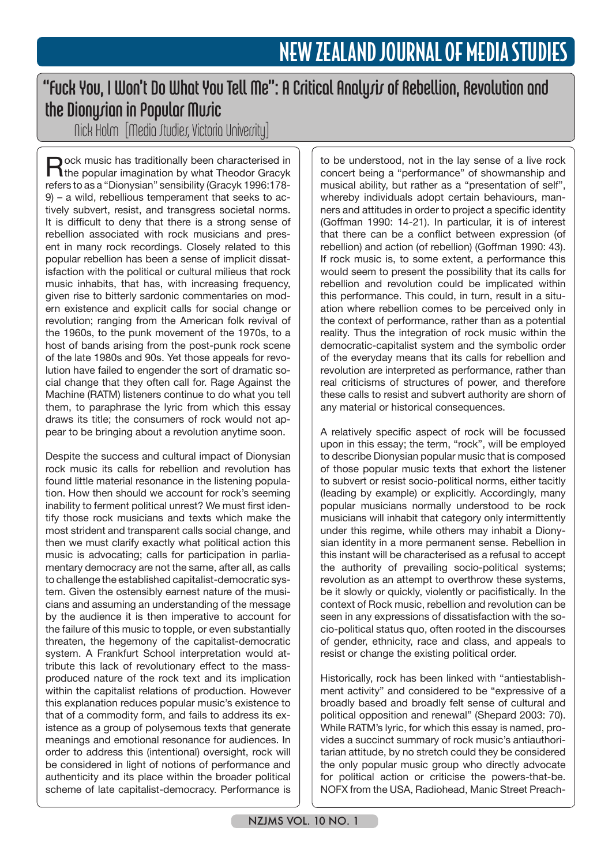## "Fuck You, I Won't Do What You Tell Me": A Critical Analysis of Rebellion, Revolution and the Dionysian in Popular Music

Nick Holm [Media Studies, Victoria University]

Rock music has traditionally been characterised in the popular imagination by what Theodor Gracyk refers to as a "Dionysian" sensibility (Gracyk 1996:178- 9) – a wild, rebellious temperament that seeks to actively subvert, resist, and transgress societal norms. It is difficult to deny that there is a strong sense of rebellion associated with rock musicians and present in many rock recordings. Closely related to this popular rebellion has been a sense of implicit dissatisfaction with the political or cultural milieus that rock music inhabits, that has, with increasing frequency, given rise to bitterly sardonic commentaries on modern existence and explicit calls for social change or revolution; ranging from the American folk revival of the 1960s, to the punk movement of the 1970s, to a host of bands arising from the post-punk rock scene of the late 1980s and 90s. Yet those appeals for revolution have failed to engender the sort of dramatic social change that they often call for. Rage Against the Machine (RATM) listeners continue to do what you tell them, to paraphrase the lyric from which this essay draws its title; the consumers of rock would not appear to be bringing about a revolution anytime soon.

Despite the success and cultural impact of Dionysian rock music its calls for rebellion and revolution has found little material resonance in the listening population. How then should we account for rock's seeming inability to ferment political unrest? We must first identify those rock musicians and texts which make the most strident and transparent calls social change, and then we must clarify exactly what political action this music is advocating; calls for participation in parliamentary democracy are not the same, after all, as calls to challenge the established capitalist-democratic system. Given the ostensibly earnest nature of the musicians and assuming an understanding of the message by the audience it is then imperative to account for the failure of this music to topple, or even substantially threaten, the hegemony of the capitalist-democratic system. A Frankfurt School interpretation would attribute this lack of revolutionary effect to the massproduced nature of the rock text and its implication within the capitalist relations of production. However this explanation reduces popular music's existence to that of a commodity form, and fails to address its existence as a group of polysemous texts that generate meanings and emotional resonance for audiences. In order to address this (intentional) oversight, rock will be considered in light of notions of performance and authenticity and its place within the broader political scheme of late capitalist-democracy. Performance is

to be understood, not in the lay sense of a live rock concert being a "performance" of showmanship and musical ability, but rather as a "presentation of self", whereby individuals adopt certain behaviours, manners and attitudes in order to project a specific identity (Goffman 1990: 14-21). In particular, it is of interest that there can be a conflict between expression (of rebellion) and action (of rebellion) (Goffman 1990: 43). If rock music is, to some extent, a performance this would seem to present the possibility that its calls for rebellion and revolution could be implicated within this performance. This could, in turn, result in a situation where rebellion comes to be perceived only in the context of performance, rather than as a potential reality. Thus the integration of rock music within the democratic-capitalist system and the symbolic order of the everyday means that its calls for rebellion and revolution are interpreted as performance, rather than real criticisms of structures of power, and therefore these calls to resist and subvert authority are shorn of any material or historical consequences.

A relatively specific aspect of rock will be focussed upon in this essay; the term, "rock", will be employed to describe Dionysian popular music that is composed of those popular music texts that exhort the listener to subvert or resist socio-political norms, either tacitly (leading by example) or explicitly. Accordingly, many popular musicians normally understood to be rock musicians will inhabit that category only intermittently under this regime, while others may inhabit a Dionysian identity in a more permanent sense. Rebellion in this instant will be characterised as a refusal to accept the authority of prevailing socio-political systems; revolution as an attempt to overthrow these systems, be it slowly or quickly, violently or pacifistically. In the context of Rock music, rebellion and revolution can be seen in any expressions of dissatisfaction with the socio-political status quo, often rooted in the discourses of gender, ethnicity, race and class, and appeals to resist or change the existing political order.

Historically, rock has been linked with "antiestablishment activity" and considered to be "expressive of a broadly based and broadly felt sense of cultural and political opposition and renewal" (Shepard 2003: 70). While RATM's lyric, for which this essay is named, provides a succinct summary of rock music's antiauthoritarian attitude, by no stretch could they be considered the only popular music group who directly advocate for political action or criticise the powers-that-be. NOFX from the USA, Radiohead, Manic Street Preach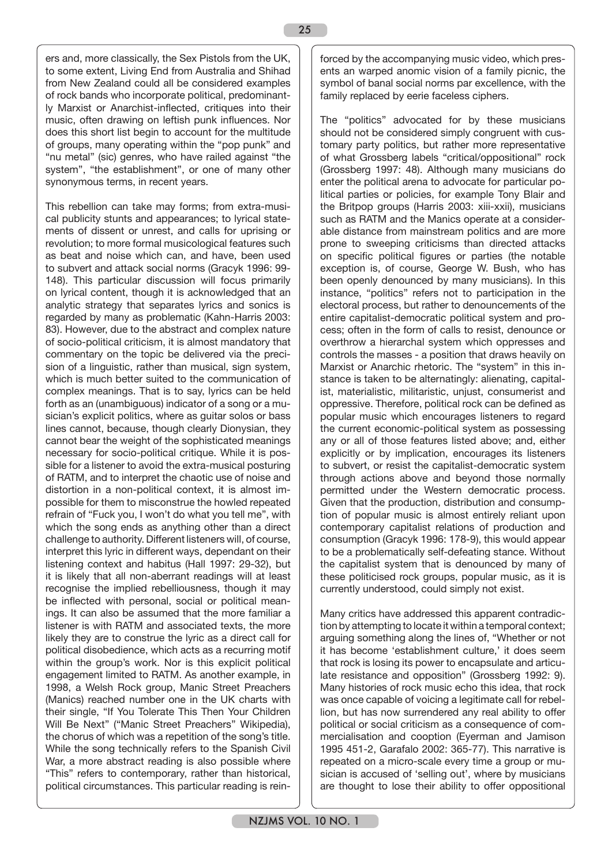ers and, more classically, the Sex Pistols from the UK, to some extent, Living End from Australia and Shihad from New Zealand could all be considered examples of rock bands who incorporate political, predominantly Marxist or Anarchist-inflected, critiques into their music, often drawing on leftish punk influences. Nor does this short list begin to account for the multitude of groups, many operating within the "pop punk" and "nu metal" (sic) genres, who have railed against "the system", "the establishment", or one of many other synonymous terms, in recent years.

This rebellion can take may forms; from extra-musical publicity stunts and appearances; to lyrical statements of dissent or unrest, and calls for uprising or revolution; to more formal musicological features such as beat and noise which can, and have, been used to subvert and attack social norms (Gracyk 1996: 99- 148). This particular discussion will focus primarily on lyrical content, though it is acknowledged that an analytic strategy that separates lyrics and sonics is regarded by many as problematic (Kahn-Harris 2003: 83). However, due to the abstract and complex nature of socio-political criticism, it is almost mandatory that commentary on the topic be delivered via the precision of a linguistic, rather than musical, sign system, which is much better suited to the communication of complex meanings. That is to say, lyrics can be held forth as an (unambiguous) indicator of a song or a musician's explicit politics, where as guitar solos or bass lines cannot, because, though clearly Dionysian, they cannot bear the weight of the sophisticated meanings necessary for socio-political critique. While it is possible for a listener to avoid the extra-musical posturing of RATM, and to interpret the chaotic use of noise and distortion in a non-political context, it is almost impossible for them to misconstrue the howled repeated refrain of "Fuck you, I won't do what you tell me", with which the song ends as anything other than a direct challenge to authority. Different listeners will, of course, interpret this lyric in different ways, dependant on their listening context and habitus (Hall 1997: 29-32), but it is likely that all non-aberrant readings will at least recognise the implied rebelliousness, though it may be inflected with personal, social or political meanings. It can also be assumed that the more familiar a listener is with RATM and associated texts, the more likely they are to construe the lyric as a direct call for political disobedience, which acts as a recurring motif within the group's work. Nor is this explicit political engagement limited to RATM. As another example, in 1998, a Welsh Rock group, Manic Street Preachers (Manics) reached number one in the UK charts with their single, "If You Tolerate This Then Your Children Will Be Next" ("Manic Street Preachers" Wikipedia), the chorus of which was a repetition of the song's title. While the song technically refers to the Spanish Civil War, a more abstract reading is also possible where "This" refers to contemporary, rather than historical, political circumstances. This particular reading is reinforced by the accompanying music video, which presents an warped anomic vision of a family picnic, the symbol of banal social norms par excellence, with the family replaced by eerie faceless ciphers.

The "politics" advocated for by these musicians should not be considered simply congruent with customary party politics, but rather more representative of what Grossberg labels "critical/oppositional" rock (Grossberg 1997: 48). Although many musicians do enter the political arena to advocate for particular political parties or policies, for example Tony Blair and the Britpop groups (Harris 2003: xiii-xxii), musicians such as RATM and the Manics operate at a considerable distance from mainstream politics and are more prone to sweeping criticisms than directed attacks on specific political figures or parties (the notable exception is, of course, George W. Bush, who has been openly denounced by many musicians). In this instance, "politics" refers not to participation in the electoral process, but rather to denouncements of the entire capitalist-democratic political system and process; often in the form of calls to resist, denounce or overthrow a hierarchal system which oppresses and controls the masses - a position that draws heavily on Marxist or Anarchic rhetoric. The "system" in this instance is taken to be alternatingly: alienating, capitalist, materialistic, militaristic, unjust, consumerist and oppressive. Therefore, political rock can be defined as popular music which encourages listeners to regard the current economic-political system as possessing any or all of those features listed above; and, either explicitly or by implication, encourages its listeners to subvert, or resist the capitalist-democratic system through actions above and beyond those normally permitted under the Western democratic process. Given that the production, distribution and consumption of popular music is almost entirely reliant upon contemporary capitalist relations of production and consumption (Gracyk 1996: 178-9), this would appear to be a problematically self-defeating stance. Without the capitalist system that is denounced by many of these politicised rock groups, popular music, as it is currently understood, could simply not exist.

Many critics have addressed this apparent contradiction by attempting to locate it within a temporal context; arguing something along the lines of, "Whether or not it has become 'establishment culture,' it does seem that rock is losing its power to encapsulate and articulate resistance and opposition" (Grossberg 1992: 9). Many histories of rock music echo this idea, that rock was once capable of voicing a legitimate call for rebellion, but has now surrendered any real ability to offer political or social criticism as a consequence of commercialisation and cooption (Eyerman and Jamison 1995 451-2, Garafalo 2002: 365-77). This narrative is repeated on a micro-scale every time a group or musician is accused of 'selling out', where by musicians are thought to lose their ability to offer oppositional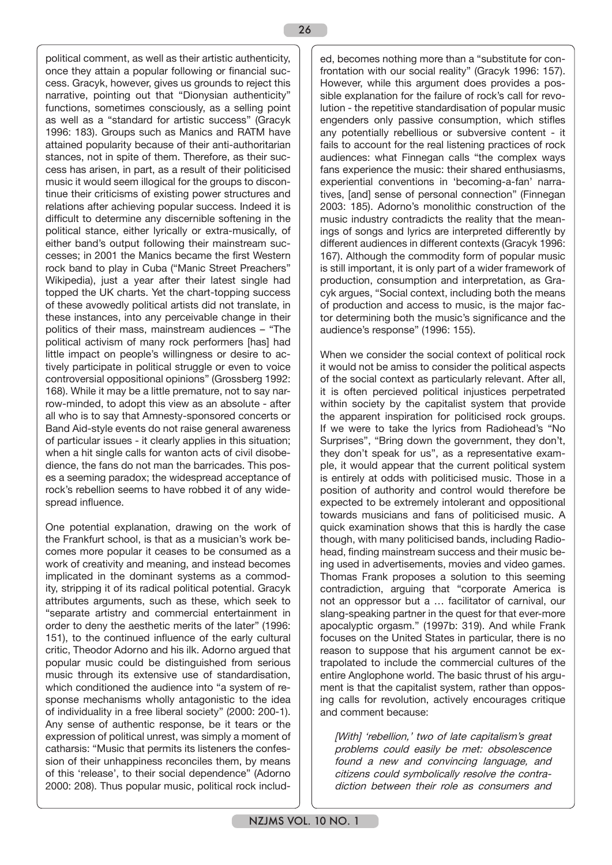political comment, as well as their artistic authenticity, once they attain a popular following or financial success. Gracyk, however, gives us grounds to reject this narrative, pointing out that "Dionysian authenticity" functions, sometimes consciously, as a selling point as well as a "standard for artistic success" (Gracyk 1996: 183). Groups such as Manics and RATM have attained popularity because of their anti-authoritarian stances, not in spite of them. Therefore, as their success has arisen, in part, as a result of their politicised music it would seem illogical for the groups to discontinue their criticisms of existing power structures and relations after achieving popular success. Indeed it is difficult to determine any discernible softening in the political stance, either lyrically or extra-musically, of either band's output following their mainstream successes; in 2001 the Manics became the first Western rock band to play in Cuba ("Manic Street Preachers" Wikipedia), just a year after their latest single had topped the UK charts. Yet the chart-topping success of these avowedly political artists did not translate, in these instances, into any perceivable change in their politics of their mass, mainstream audiences – "The political activism of many rock performers [has] had little impact on people's willingness or desire to actively participate in political struggle or even to voice controversial oppositional opinions" (Grossberg 1992: 168). While it may be a little premature, not to say narrow-minded, to adopt this view as an absolute - after all who is to say that Amnesty-sponsored concerts or Band Aid-style events do not raise general awareness of particular issues - it clearly applies in this situation; when a hit single calls for wanton acts of civil disobedience, the fans do not man the barricades. This poses a seeming paradox; the widespread acceptance of rock's rebellion seems to have robbed it of any widespread influence.

One potential explanation, drawing on the work of the Frankfurt school, is that as a musician's work becomes more popular it ceases to be consumed as a work of creativity and meaning, and instead becomes implicated in the dominant systems as a commodity, stripping it of its radical political potential. Gracyk attributes arguments, such as these, which seek to "separate artistry and commercial entertainment in order to deny the aesthetic merits of the later" (1996: 151), to the continued influence of the early cultural critic, Theodor Adorno and his ilk. Adorno argued that popular music could be distinguished from serious music through its extensive use of standardisation, which conditioned the audience into "a system of response mechanisms wholly antagonistic to the idea of individuality in a free liberal society" (2000: 200-1). Any sense of authentic response, be it tears or the expression of political unrest, was simply a moment of catharsis: "Music that permits its listeners the confession of their unhappiness reconciles them, by means of this 'release', to their social dependence" (Adorno 2000: 208). Thus popular music, political rock included, becomes nothing more than a "substitute for confrontation with our social reality" (Gracyk 1996: 157). However, while this argument does provides a possible explanation for the failure of rock's call for revolution - the repetitive standardisation of popular music engenders only passive consumption, which stifles any potentially rebellious or subversive content - it fails to account for the real listening practices of rock audiences: what Finnegan calls "the complex ways fans experience the music: their shared enthusiasms, experiential conventions in 'becoming-a-fan' narratives, [and] sense of personal connection" (Finnegan 2003: 185). Adorno's monolithic construction of the music industry contradicts the reality that the meanings of songs and lyrics are interpreted differently by different audiences in different contexts (Gracyk 1996: 167). Although the commodity form of popular music is still important, it is only part of a wider framework of production, consumption and interpretation, as Gracyk argues, "Social context, including both the means of production and access to music, is the major factor determining both the music's significance and the audience's response" (1996: 155).

When we consider the social context of political rock it would not be amiss to consider the political aspects of the social context as particularly relevant. After all, it is often percieved political injustices perpetrated within society by the capitalist system that provide the apparent inspiration for politicised rock groups. If we were to take the lyrics from Radiohead's "No Surprises", "Bring down the government, they don't, they don't speak for us", as a representative example, it would appear that the current political system is entirely at odds with politicised music. Those in a position of authority and control would therefore be expected to be extremely intolerant and oppositional towards musicians and fans of politicised music. A quick examination shows that this is hardly the case though, with many politicised bands, including Radiohead, finding mainstream success and their music being used in advertisements, movies and video games. Thomas Frank proposes a solution to this seeming contradiction, arguing that "corporate America is not an oppressor but a … facilitator of carnival, our slang-speaking partner in the quest for that ever-more apocalyptic orgasm." (1997b: 319). And while Frank focuses on the United States in particular, there is no reason to suppose that his argument cannot be extrapolated to include the commercial cultures of the entire Anglophone world. The basic thrust of his argument is that the capitalist system, rather than opposing calls for revolution, actively encourages critique and comment because:

[With] 'rebellion,' two of late capitalism's great problems could easily be met: obsolescence found a new and convincing language, and citizens could symbolically resolve the contradiction between their role as consumers and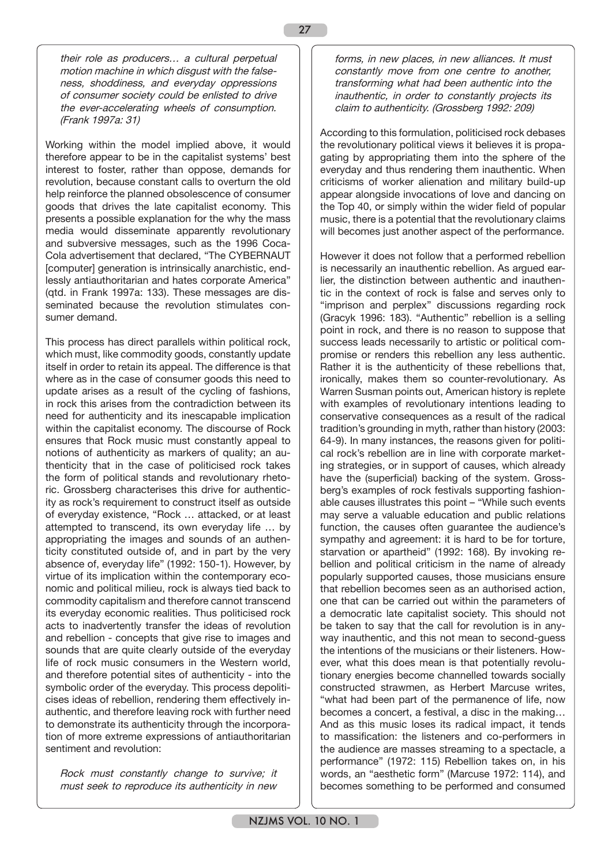their role as producers… a cultural perpetual motion machine in which disgust with the falseness, shoddiness, and everyday oppressions of consumer society could be enlisted to drive the ever-accelerating wheels of consumption. (Frank 1997a: 31)

Working within the model implied above, it would therefore appear to be in the capitalist systems' best interest to foster, rather than oppose, demands for revolution, because constant calls to overturn the old help reinforce the planned obsolescence of consumer goods that drives the late capitalist economy. This presents a possible explanation for the why the mass media would disseminate apparently revolutionary and subversive messages, such as the 1996 Coca-Cola advertisement that declared, "The CYBERNAUT [computer] generation is intrinsically anarchistic, endlessly antiauthoritarian and hates corporate America" (qtd. in Frank 1997a: 133). These messages are disseminated because the revolution stimulates consumer demand.

This process has direct parallels within political rock, which must, like commodity goods, constantly update itself in order to retain its appeal. The difference is that where as in the case of consumer goods this need to update arises as a result of the cycling of fashions, in rock this arises from the contradiction between its need for authenticity and its inescapable implication within the capitalist economy. The discourse of Rock ensures that Rock music must constantly appeal to notions of authenticity as markers of quality; an authenticity that in the case of politicised rock takes the form of political stands and revolutionary rhetoric. Grossberg characterises this drive for authenticity as rock's requirement to construct itself as outside of everyday existence, "Rock … attacked, or at least attempted to transcend, its own everyday life … by appropriating the images and sounds of an authenticity constituted outside of, and in part by the very absence of, everyday life" (1992: 150-1). However, by virtue of its implication within the contemporary economic and political milieu, rock is always tied back to commodity capitalism and therefore cannot transcend its everyday economic realities. Thus politicised rock acts to inadvertently transfer the ideas of revolution and rebellion - concepts that give rise to images and sounds that are quite clearly outside of the everyday life of rock music consumers in the Western world, and therefore potential sites of authenticity - into the symbolic order of the everyday. This process depoliticises ideas of rebellion, rendering them effectively inauthentic, and therefore leaving rock with further need to demonstrate its authenticity through the incorporation of more extreme expressions of antiauthoritarian sentiment and revolution:

Rock must constantly change to survive; it must seek to reproduce its authenticity in new forms, in new places, in new alliances. It must constantly move from one centre to another, transforming what had been authentic into the inauthentic, in order to constantly projects its claim to authenticity. (Grossberg 1992: 209)

According to this formulation, politicised rock debases the revolutionary political views it believes it is propagating by appropriating them into the sphere of the everyday and thus rendering them inauthentic. When criticisms of worker alienation and military build-up appear alongside invocations of love and dancing on the Top 40, or simply within the wider field of popular music, there is a potential that the revolutionary claims will becomes just another aspect of the performance.

However it does not follow that a performed rebellion is necessarily an inauthentic rebellion. As argued earlier, the distinction between authentic and inauthentic in the context of rock is false and serves only to "imprison and perplex" discussions regarding rock (Gracyk 1996: 183). "Authentic" rebellion is a selling point in rock, and there is no reason to suppose that success leads necessarily to artistic or political compromise or renders this rebellion any less authentic. Rather it is the authenticity of these rebellions that, ironically, makes them so counter-revolutionary. As Warren Susman points out, American history is replete with examples of revolutionary intentions leading to conservative consequences as a result of the radical tradition's grounding in myth, rather than history (2003: 64-9). In many instances, the reasons given for political rock's rebellion are in line with corporate marketing strategies, or in support of causes, which already have the (superficial) backing of the system. Grossberg's examples of rock festivals supporting fashionable causes illustrates this point – "While such events may serve a valuable education and public relations function, the causes often guarantee the audience's sympathy and agreement: it is hard to be for torture, starvation or apartheid" (1992: 168). By invoking rebellion and political criticism in the name of already popularly supported causes, those musicians ensure that rebellion becomes seen as an authorised action, one that can be carried out within the parameters of a democratic late capitalist society. This should not be taken to say that the call for revolution is in anyway inauthentic, and this not mean to second-guess the intentions of the musicians or their listeners. However, what this does mean is that potentially revolutionary energies become channelled towards socially constructed strawmen, as Herbert Marcuse writes, "what had been part of the permanence of life, now becomes a concert, a festival, a disc in the making… And as this music loses its radical impact, it tends to massification: the listeners and co-performers in the audience are masses streaming to a spectacle, a performance" (1972: 115) Rebellion takes on, in his words, an "aesthetic form" (Marcuse 1972: 114), and becomes something to be performed and consumed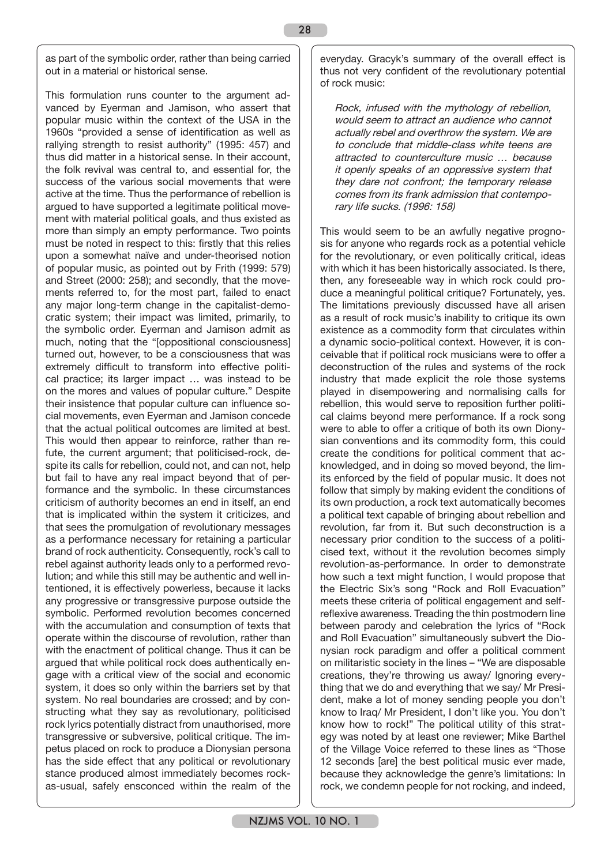as part of the symbolic order, rather than being carried out in a material or historical sense.

This formulation runs counter to the argument advanced by Eyerman and Jamison, who assert that popular music within the context of the USA in the 1960s "provided a sense of identification as well as rallying strength to resist authority" (1995: 457) and thus did matter in a historical sense. In their account, the folk revival was central to, and essential for, the success of the various social movements that were active at the time. Thus the performance of rebellion is argued to have supported a legitimate political movement with material political goals, and thus existed as more than simply an empty performance. Two points must be noted in respect to this: firstly that this relies upon a somewhat naïve and under-theorised notion of popular music, as pointed out by Frith (1999: 579) and Street (2000: 258); and secondly, that the movements referred to, for the most part, failed to enact any major long-term change in the capitalist-democratic system; their impact was limited, primarily, to the symbolic order. Eyerman and Jamison admit as much, noting that the "[oppositional consciousness] turned out, however, to be a consciousness that was extremely difficult to transform into effective political practice; its larger impact … was instead to be on the mores and values of popular culture." Despite their insistence that popular culture can influence social movements, even Eyerman and Jamison concede that the actual political outcomes are limited at best. This would then appear to reinforce, rather than refute, the current argument; that politicised-rock, despite its calls for rebellion, could not, and can not, help but fail to have any real impact beyond that of performance and the symbolic. In these circumstances criticism of authority becomes an end in itself, an end that is implicated within the system it criticizes, and that sees the promulgation of revolutionary messages as a performance necessary for retaining a particular brand of rock authenticity. Consequently, rock's call to rebel against authority leads only to a performed revolution; and while this still may be authentic and well intentioned, it is effectively powerless, because it lacks any progressive or transgressive purpose outside the symbolic. Performed revolution becomes concerned with the accumulation and consumption of texts that operate within the discourse of revolution, rather than with the enactment of political change. Thus it can be argued that while political rock does authentically engage with a critical view of the social and economic system, it does so only within the barriers set by that system. No real boundaries are crossed; and by constructing what they say as revolutionary, politicised rock lyrics potentially distract from unauthorised, more transgressive or subversive, political critique. The impetus placed on rock to produce a Dionysian persona has the side effect that any political or revolutionary stance produced almost immediately becomes rockas-usual, safely ensconced within the realm of the

everyday. Gracyk's summary of the overall effect is thus not very confident of the revolutionary potential of rock music:

Rock, infused with the mythology of rebellion, would seem to attract an audience who cannot actually rebel and overthrow the system. We are to conclude that middle-class white teens are attracted to counterculture music … because it openly speaks of an oppressive system that they dare not confront; the temporary release comes from its frank admission that contemporary life sucks. (1996: 158)

This would seem to be an awfully negative prognosis for anyone who regards rock as a potential vehicle for the revolutionary, or even politically critical, ideas with which it has been historically associated. Is there, then, any foreseeable way in which rock could produce a meaningful political critique? Fortunately, yes. The limitations previously discussed have all arisen as a result of rock music's inability to critique its own existence as a commodity form that circulates within a dynamic socio-political context. However, it is conceivable that if political rock musicians were to offer a deconstruction of the rules and systems of the rock industry that made explicit the role those systems played in disempowering and normalising calls for rebellion, this would serve to reposition further political claims beyond mere performance. If a rock song were to able to offer a critique of both its own Dionysian conventions and its commodity form, this could create the conditions for political comment that acknowledged, and in doing so moved beyond, the limits enforced by the field of popular music. It does not follow that simply by making evident the conditions of its own production, a rock text automatically becomes a political text capable of bringing about rebellion and revolution, far from it. But such deconstruction is a necessary prior condition to the success of a politicised text, without it the revolution becomes simply revolution-as-performance. In order to demonstrate how such a text might function, I would propose that the Electric Six's song "Rock and Roll Evacuation" meets these criteria of political engagement and selfreflexive awareness. Treading the thin postmodern line between parody and celebration the lyrics of "Rock and Roll Evacuation" simultaneously subvert the Dionysian rock paradigm and offer a political comment on militaristic society in the lines – "We are disposable creations, they're throwing us away/ Ignoring everything that we do and everything that we say/ Mr President, make a lot of money sending people you don't know to Iraq/ Mr President, I don't like you. You don't know how to rock!" The political utility of this strategy was noted by at least one reviewer; Mike Barthel of the Village Voice referred to these lines as "Those 12 seconds [are] the best political music ever made, because they acknowledge the genre's limitations: In rock, we condemn people for not rocking, and indeed,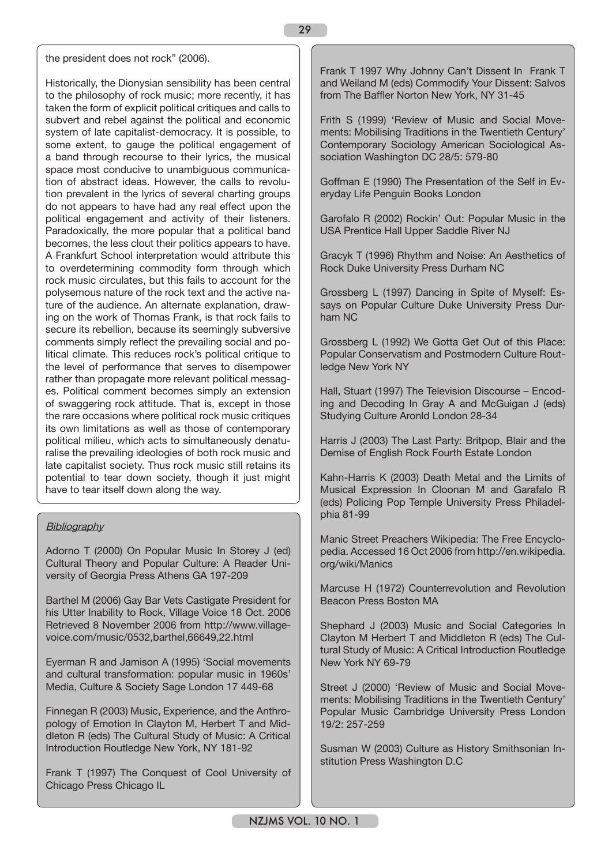the president does not rock" (2006).

Historically, the Dionysian sensibility has been central to the philosophy of rock music; more recently, it has taken the form of explicit political critiques and calls to subvert and rebel against the political and economic system of late capitalist-democracy. It is possible, to some extent, to gauge the political engagement of a band through recourse to their lyrics, the musical space most conducive to unambiguous communication of abstract ideas. However, the calls to revolution prevalent in the lyrics of several charting groups do not appears to have had any real effect upon the political engagement and activity of their listeners. Paradoxically, the more popular that a political band becomes, the less clout their politics appears to have. A Frankfurt School interpretation would attribute this to overdetermining commodity form through which rock music circulates, but this fails to account for the polysemous nature of the rock text and the active nature of the audience. An alternate explanation, drawing on the work of Thomas Frank, is that rock fails to secure its rebellion, because its seemingly subversive comments simply reflect the prevailing social and political climate. This reduces rock's political critique to the level of performance that serves to disempower rather than propagate more relevant political messages. Political comment becomes simply an extension of swaggering rock attitude. That is, except in those the rare occasions where political rock music critiques its own limitations as well as those of contemporary political milieu, which acts to simultaneously denaturalise the prevailing ideologies of both rock music and late capitalist society. Thus rock music still retains its potential to tear down society, though it just might have to tear itself down along the way.

## **Bibliography**

Adorno T (2000) On Popular Music In Storey J (ed) Cultural Theory and Popular Culture: A Reader University of Georgia Press Athens GA 197-209

Barthel M (2006) Gay Bar Vets Castigate President for his Utter Inability to Rock, Village Voice 18 Oct. 2006 Retrieved 8 November 2006 from http://www.villagevoice.com/music/0532,barthel,66649,22.html

Eyerman R and Jamison A (1995) 'Social movements and cultural transformation: popular music in 1960s' Media, Culture & Society Sage London 17 449-68

Finnegan R (2003) Music, Experience, and the Anthropology of Emotion In Clayton M, Herbert T and Middleton R (eds) The Cultural Study of Music: A Critical Introduction Routledge New York, NY 181-92

Frank T (1997) The Conquest of Cool University of Chicago Press Chicago IL

Frank T 1997 Why Johnny Can't Dissent In Frank T and Weiland M (eds) Commodify Your Dissent: Salvos from The Baffler Norton New York, NY 31-45

Frith S (1999) 'Review of Music and Social Movements: Mobilising Traditions in the Twentieth Century' Contemporary Sociology American Sociological Association Washington DC 28/5: 579-80

Goffman E (1990) The Presentation of the Self in Everyday Life Penguin Books London

Garofalo R (2002) Rockin' Out: Popular Music in the USA Prentice Hall Upper Saddle River NJ

Gracyk T (1996) Rhythm and Noise: An Aesthetics of Rock Duke University Press Durham NC

Grossberg L (1997) Dancing in Spite of Myself: Essays on Popular Culture Duke University Press Durham NC

Grossberg L (1992) We Gotta Get Out of this Place: Popular Conservatism and Postmodern Culture Routledge New York NY

Hall, Stuart (1997) The Television Discourse – Encoding and Decoding In Gray A and McGuigan J (eds) Studying Culture Aronld London 28-34

Harris J (2003) The Last Party: Britpop, Blair and the Demise of English Rock Fourth Estate London

Kahn-Harris K (2003) Death Metal and the Limits of Musical Expression In Cloonan M and Garafalo R (eds) Policing Pop Temple University Press Philadelphia 81-99

Manic Street Preachers Wikipedia: The Free Encyclopedia. Accessed 16 Oct 2006 from http://en.wikipedia. org/wiki/Manics

Marcuse H (1972) Counterrevolution and Revolution Beacon Press Boston MA

Shephard J (2003) Music and Social Categories In Clayton M Herbert T and Middleton R (eds) The Cultural Study of Music: A Critical Introduction Routledge New York NY 69-79

Street J (2000) 'Review of Music and Social Movements: Mobilising Traditions in the Twentieth Century' Popular Music Cambridge University Press London 19/2: 257-259

Susman W (2003) Culture as History Smithsonian Institution Press Washington D.C